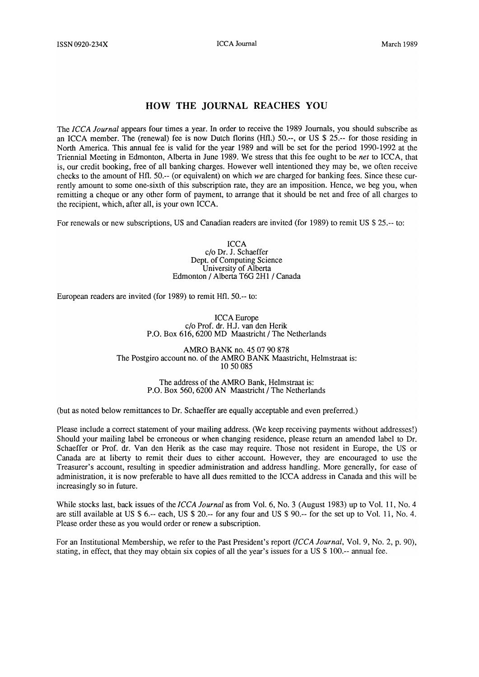## **HOW THE JOURNAL REACHES YOU**

The *ICCA Journal* appears four times a year. In order to receive the 1989 Journals, you should subscribe as an ICC A member. The (renewal) fee is now Dutch florins (Hfl.) 50.--, or US \$ 25.-- for those residing in North America. This annual fee is valid for the year 1989 and will be set for the period 1990-1992 at the Triennial Meeting in Edmonton, Alberta in June 1989. We stress that this fee ought to be *net* to ICCA, that is, our credit booking, free of all banking charges. However well intentioned they may be, we often receive checks to the amount of Hfl. 50.-- (or equivalent) on which *we* are charged for banking fees. Since these currently amount to some one-sixth of this subscription rate, they are an imposition. Hence, we beg you, when remitting a cheque or any other form of payment, to arrange that it should be net and free of all charges to the recipient, which, after all, is your own ICCA.

For renewals or new subscriptions, US and Canadian readers are invited (for 1989) to remit US \$ 25.-- to:

ICCA c/o Dr. J. Schaeffer Dept. of Computing Science University of Alberta Edmonton / Alberta T6G 2Hl / Canada

European readers are invited (for 1989) to remit Hfl. 50.-- to:

ICCAEurope c/o Prof. dr. H.J. van den Herik P.O. Box 616,6200 MD Maastricht / The Netherlands

AMRO BANK no. 45 07 90 878 The Postgiro account no. of the AMRO BANK Maastricht, Helmstraat is: 1050085

> The address of the AMRO Bank, Helmstraat is: P.O. Box 560, 6200 AN Maastricht / The Netherlands

(but as noted below remittances to Dr. Schaeffer are equally acceptable and even preferred.)

Please include a correct statement of your mailing address. (We keep receiving payments without addresses!) Should your mailing label be erroneous or when changing residence, please return an amended label to Dr. Schaeffer or Prof. dr. Van den Herik as the case may require. Those not resident in Europe, the US or Canada are at liberty to remit their dues to either account. However, they are encouraged to use the Treasurer's account, resulting in speedier administration and address handling. More generally, for ease of administration, it is now preferable to have all dues remitted to the ICC A address in Canada and this will be increasingly so in future.

While stocks last, back issues of the *ICCA Journal* as from Vol. 6, No. 3 (August 1983) up to Vol. 11, No. 4 are still available at US \$ 6.-- each, US \$ 20.-- for any four and US \$ 90.-- for the set up to Vol. 11, No.4. Please order these as you would order or renew a subscription.

For an Institutional Membership, we refer to the Past President's report *(ICCA Journal,* Vol. 9, No.2, p. 90), stating, in effect, that they may obtain six copies of all the year's issues for a US \$ 100.-- annual fee.